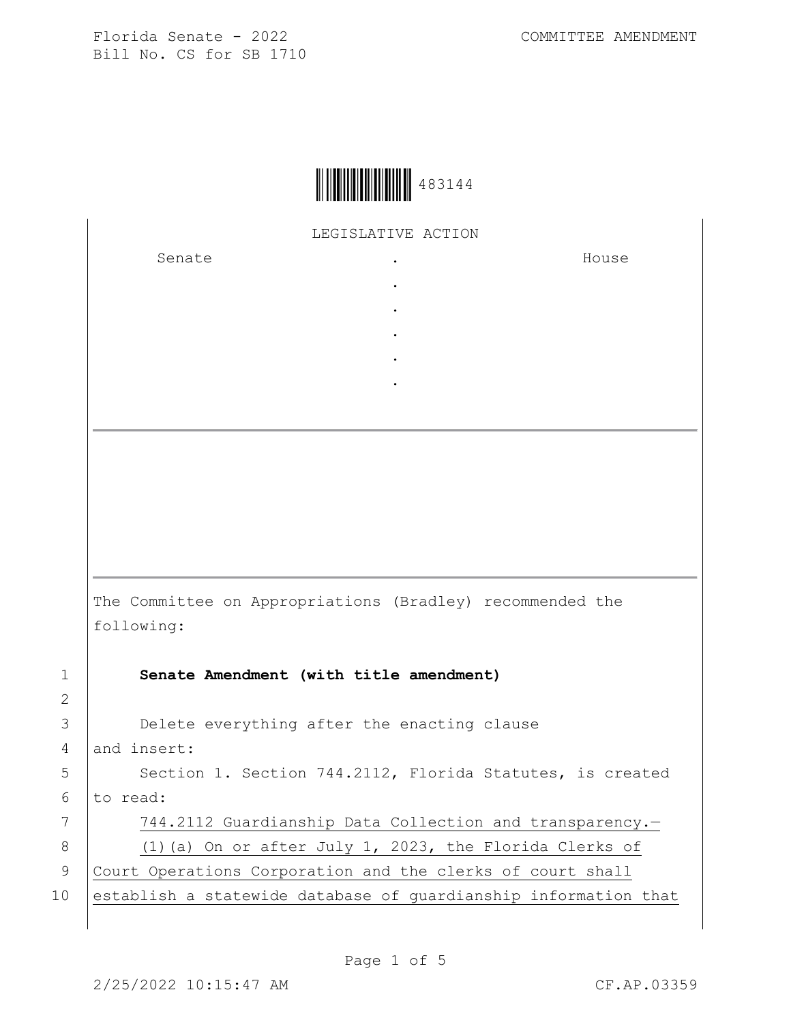| 483144 |
|--------|
|--------|

LEGISLATIVE ACTION

. . . . .

Senate the senate of the senate of the senate of  $\cdot$ 

House

The Committee on Appropriations (Bradley) recommended the following:

3 **Delete everything after the enacting clause** 

1 **Senate Amendment (with title amendment)** 2

4 and insert: 5 | Section 1. Section 744.2112, Florida Statutes, is created  $6$  to read: 7 | 744.2112 Guardianship Data Collection and transparency.-8 (1)(a) On or after July 1, 2023, the Florida Clerks of 9 Court Operations Corporation and the clerks of court shall

10 establish a statewide database of quardianship information that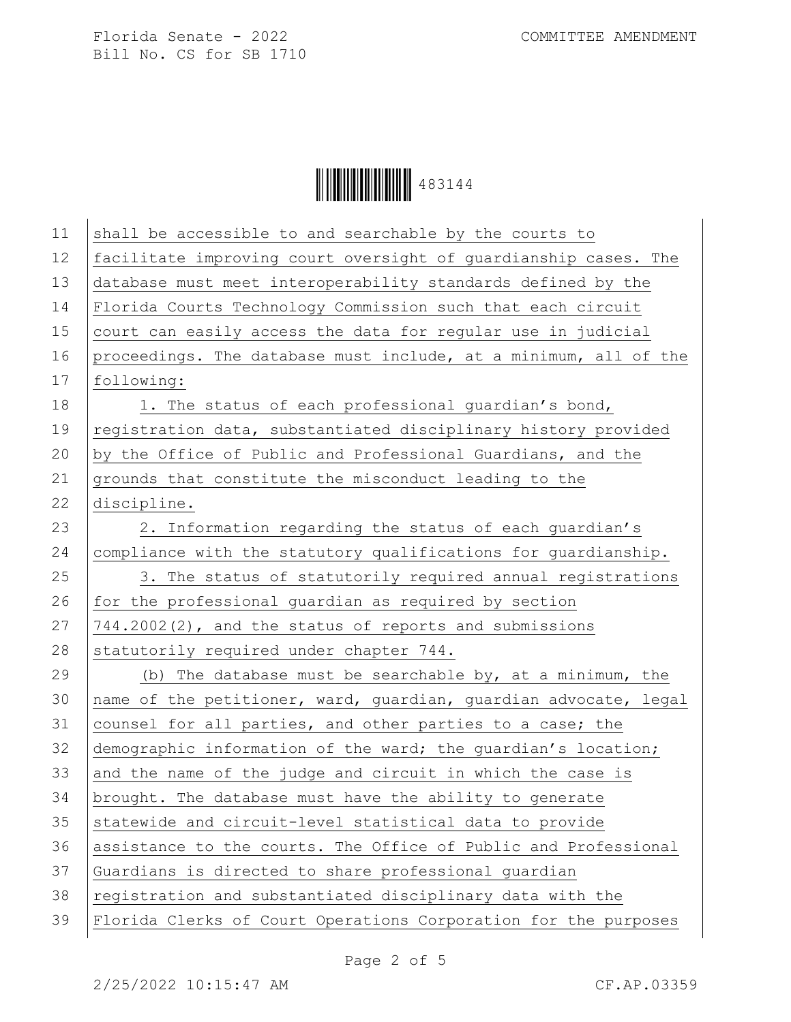

| 11 | shall be accessible to and searchable by the courts to           |
|----|------------------------------------------------------------------|
| 12 | facilitate improving court oversight of guardianship cases. The  |
| 13 | database must meet interoperability standards defined by the     |
| 14 | Florida Courts Technology Commission such that each circuit      |
| 15 | court can easily access the data for regular use in judicial     |
| 16 | proceedings. The database must include, at a minimum, all of the |
| 17 | following:                                                       |
| 18 | 1. The status of each professional quardian's bond,              |
| 19 | registration data, substantiated disciplinary history provided   |
| 20 | by the Office of Public and Professional Guardians, and the      |
| 21 | grounds that constitute the misconduct leading to the            |
| 22 | discipline.                                                      |
| 23 | 2. Information regarding the status of each guardian's           |
| 24 | compliance with the statutory qualifications for guardianship.   |
| 25 | 3. The status of statutorily required annual registrations       |
| 26 | for the professional guardian as required by section             |
| 27 | 744.2002(2), and the status of reports and submissions           |
| 28 | statutorily required under chapter 744.                          |
| 29 | (b) The database must be searchable by, at a minimum, the        |
| 30 | name of the petitioner, ward, guardian, guardian advocate, legal |
| 31 | counsel for all parties, and other parties to a case; the        |
| 32 | demographic information of the ward; the guardian's location;    |
| 33 | and the name of the judge and circuit in which the case is       |
| 34 | brought. The database must have the ability to generate          |
| 35 | statewide and circuit-level statistical data to provide          |
| 36 | assistance to the courts. The Office of Public and Professional  |
| 37 | Guardians is directed to share professional quardian             |
| 38 | registration and substantiated disciplinary data with the        |
| 39 | Florida Clerks of Court Operations Corporation for the purposes  |
|    |                                                                  |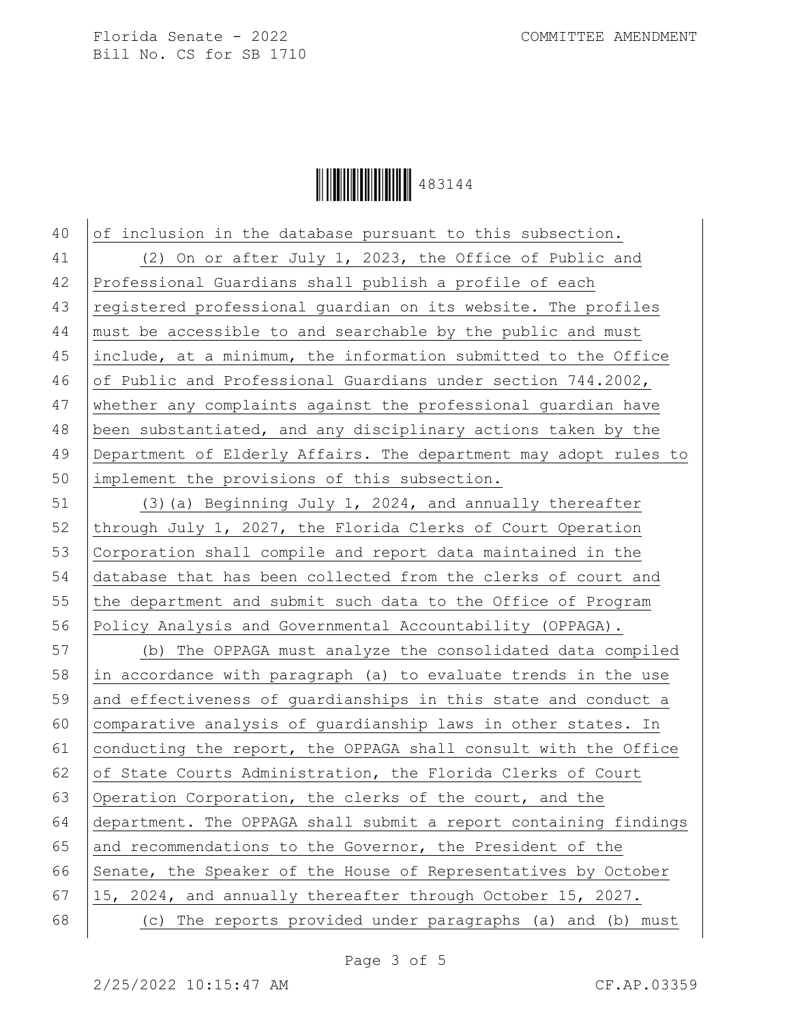

 of inclusion in the database pursuant to this subsection. 41 (2) On or after July 1, 2023, the Office of Public and Professional Guardians shall publish a profile of each 43 registered professional quardian on its website. The profiles must be accessible to and searchable by the public and must include, at a minimum, the information submitted to the Office of Public and Professional Guardians under section 744.2002, whether any complaints against the professional guardian have been substantiated, and any disciplinary actions taken by the Department of Elderly Affairs. The department may adopt rules to implement the provisions of this subsection.

 (3)(a) Beginning July 1, 2024, and annually thereafter 52 through July 1, 2027, the Florida Clerks of Court Operation Corporation shall compile and report data maintained in the database that has been collected from the clerks of court and 55 the department and submit such data to the Office of Program Policy Analysis and Governmental Accountability (OPPAGA).

57 (b) The OPPAGA must analyze the consolidated data compiled 58 in accordance with paragraph (a) to evaluate trends in the use 59 and effectiveness of guardianships in this state and conduct a 60 comparative analysis of guardianship laws in other states. In 61 conducting the report, the OPPAGA shall consult with the Office 62 of State Courts Administration, the Florida Clerks of Court 63 Operation Corporation, the clerks of the court, and the 64 department. The OPPAGA shall submit a report containing findings 65 and recommendations to the Governor, the President of the 66 Senate, the Speaker of the House of Representatives by October 67 15, 2024, and annually thereafter through October 15, 2027. 68 (c) The reports provided under paragraphs (a) and (b) must

Page 3 of 5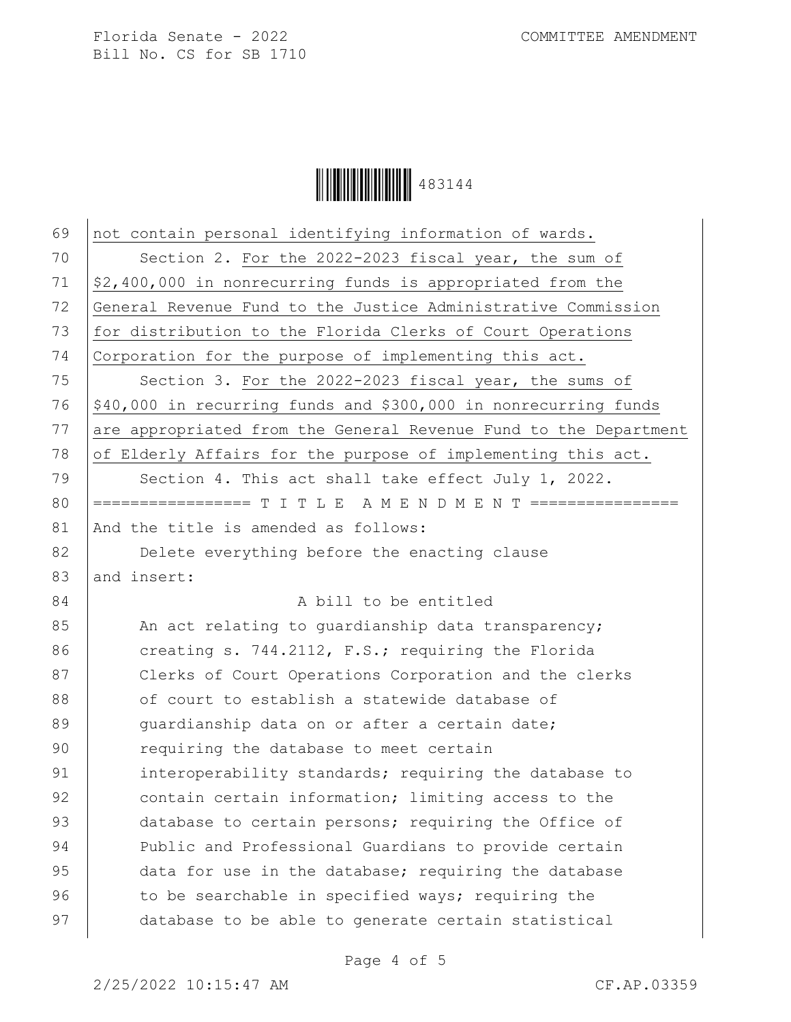

| 69 | not contain personal identifying information of wards.           |
|----|------------------------------------------------------------------|
| 70 | Section 2. For the 2022-2023 fiscal year, the sum of             |
| 71 | \$2,400,000 in nonrecurring funds is appropriated from the       |
| 72 | General Revenue Fund to the Justice Administrative Commission    |
| 73 | for distribution to the Florida Clerks of Court Operations       |
| 74 | Corporation for the purpose of implementing this act.            |
| 75 | Section 3. For the 2022-2023 fiscal year, the sums of            |
| 76 | \$40,000 in recurring funds and \$300,000 in nonrecurring funds  |
| 77 | are appropriated from the General Revenue Fund to the Department |
| 78 | of Elderly Affairs for the purpose of implementing this act.     |
| 79 | Section 4. This act shall take effect July 1, 2022.              |
| 80 | ================= T I T L E A M E N D M E N T ================   |
| 81 | And the title is amended as follows:                             |
| 82 | Delete everything before the enacting clause                     |
| 83 | and insert:                                                      |
| 84 | A bill to be entitled                                            |
| 85 | An act relating to guardianship data transparency;               |
| 86 | creating s. 744.2112, F.S.; requiring the Florida                |
| 87 | Clerks of Court Operations Corporation and the clerks            |
| 88 | of court to establish a statewide database of                    |
| 89 | quardianship data on or after a certain date;                    |
| 90 | requiring the database to meet certain                           |
| 91 | interoperability standards; requiring the database to            |
| 92 | contain certain information; limiting access to the              |
| 93 | database to certain persons; requiring the Office of             |
| 94 | Public and Professional Guardians to provide certain             |
| 95 | data for use in the database; requiring the database             |
| 96 | to be searchable in specified ways; requiring the                |
| 97 | database to be able to generate certain statistical              |
|    |                                                                  |

Page 4 of 5